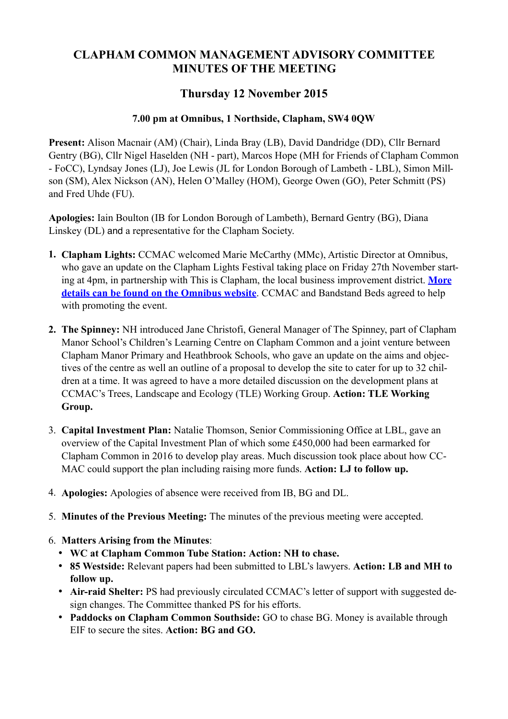## **CLAPHAM COMMON MANAGEMENT ADVISORY COMMITTEE MINUTES OF THE MEETING**

## **Thursday 12 November 2015**

## **7.00 pm at Omnibus, 1 Northside, Clapham, SW4 0QW**

**Present:** Alison Macnair (AM) (Chair), Linda Bray (LB), David Dandridge (DD), Cllr Bernard Gentry (BG), Cllr Nigel Haselden (NH - part), Marcos Hope (MH for Friends of Clapham Common - FoCC), Lyndsay Jones (LJ), Joe Lewis (JL for London Borough of Lambeth - LBL), Simon Millson (SM), Alex Nickson (AN), Helen O'Malley (HOM), George Owen (GO), Peter Schmitt (PS) and Fred Uhde (FU).

**Apologies:** Iain Boulton (IB for London Borough of Lambeth), Bernard Gentry (BG), Diana Linskey (DL) and a representative for the Clapham Society.

- **1. Clapham Lights:** CCMAC welcomed Marie McCarthy (MMc), Artistic Director at Omnibus, who gave an update on the Clapham Lights Festival taking place on Friday 27th November start[ing at 4pm, in partnership with This is Clapham, the local business improvement district.](http://omnibus-clapham.org/event/clapham-lights/) **More details can be found on the Omnibus website**. CCMAC and Bandstand Beds agreed to help with promoting the event.
- **2. The Spinney:** NH introduced Jane Christofi, General Manager of The Spinney, part of Clapham Manor School's Children's Learning Centre on Clapham Common and a joint venture between Clapham Manor Primary and Heathbrook Schools, who gave an update on the aims and objectives of the centre as well an outline of a proposal to develop the site to cater for up to 32 children at a time. It was agreed to have a more detailed discussion on the development plans at CCMAC's Trees, Landscape and Ecology (TLE) Working Group. **Action: TLE Working Group.**
- 3. **Capital Investment Plan:** Natalie Thomson, Senior Commissioning Office at LBL, gave an overview of the Capital Investment Plan of which some £450,000 had been earmarked for Clapham Common in 2016 to develop play areas. Much discussion took place about how CC-MAC could support the plan including raising more funds. **Action: LJ to follow up.**
- 4. **Apologies:** Apologies of absence were received from IB, BG and DL.
- 5. **Minutes of the Previous Meeting:** The minutes of the previous meeting were accepted.
- 6. **Matters Arising from the Minutes**:
	- **• WC at Clapham Common Tube Station: Action: NH to chase.**
	- **• 85 Westside:** Relevant papers had been submitted to LBL's lawyers. **Action: LB and MH to follow up.**
	- **• Air-raid Shelter:** PS had previously circulated CCMAC's letter of support with suggested design changes. The Committee thanked PS for his efforts.
	- **• Paddocks on Clapham Common Southside:** GO to chase BG. Money is available through EIF to secure the sites. **Action: BG and GO.**